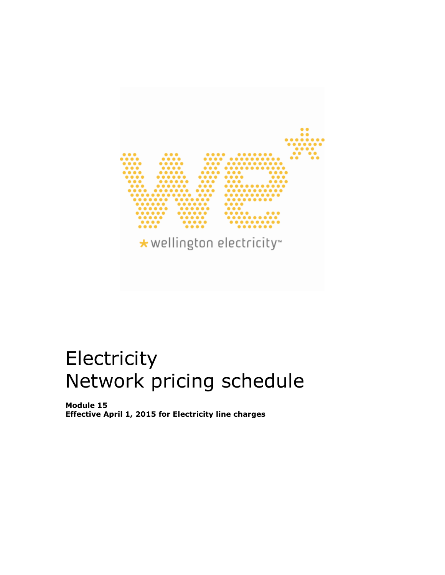

# **Electricity** Network pricing schedule

**Module 15 Effective April 1, 2015 for Electricity line charges**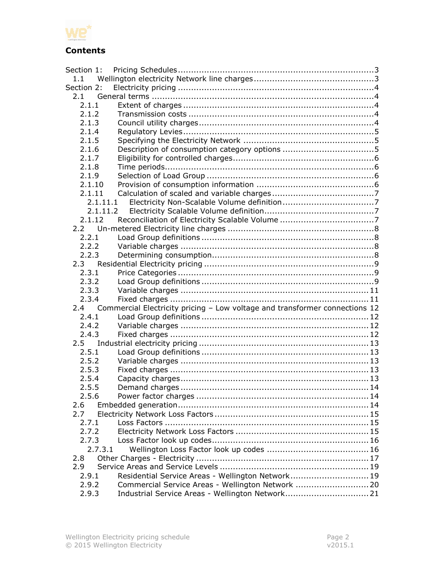

## **Contents**

| Section 1:   |                                                                             |  |
|--------------|-----------------------------------------------------------------------------|--|
| 1.1          |                                                                             |  |
| Section 2:   |                                                                             |  |
| 2.1          |                                                                             |  |
| 2.1.1        |                                                                             |  |
| 2.1.2        |                                                                             |  |
| 2.1.3        |                                                                             |  |
| 2.1.4        |                                                                             |  |
| 2.1.5        |                                                                             |  |
| 2.1.6        |                                                                             |  |
| 2.1.7        |                                                                             |  |
| 2.1.8        |                                                                             |  |
| 2.1.9        |                                                                             |  |
| 2.1.10       |                                                                             |  |
| 2.1.11       |                                                                             |  |
|              | 2.1.11.1                                                                    |  |
|              | 2.1.11.2                                                                    |  |
| 2.1.12       |                                                                             |  |
| 2.2          |                                                                             |  |
| 2.2.1        |                                                                             |  |
| 2.2.2        |                                                                             |  |
| 2.2.3        |                                                                             |  |
| $2.3 -$      |                                                                             |  |
| 2.3.1        |                                                                             |  |
| 2.3.2        |                                                                             |  |
| 2.3.3        |                                                                             |  |
| 2.3.4        |                                                                             |  |
| 2.4          | Commercial Electricity pricing - Low voltage and transformer connections 12 |  |
| 2.4.1        |                                                                             |  |
| 2.4.2        |                                                                             |  |
| 2.4.3<br>2.5 |                                                                             |  |
| 2.5.1        |                                                                             |  |
| 2.5.2        |                                                                             |  |
| 2.5.3        |                                                                             |  |
| 2.5.4        |                                                                             |  |
| 2.5.5        |                                                                             |  |
| 2.5.6        |                                                                             |  |
| 2.6          |                                                                             |  |
| 2.7          |                                                                             |  |
| 2.7.1        |                                                                             |  |
| 2.7.2        |                                                                             |  |
| 2.7.3        |                                                                             |  |
|              | 2.7.3.1                                                                     |  |
| 2.8          |                                                                             |  |
| 2.9          |                                                                             |  |
| 2.9.1        | Residential Service Areas - Wellington Network 19                           |  |
| 2.9.2        | Commercial Service Areas - Wellington Network 20                            |  |
| 2.9.3        |                                                                             |  |
|              |                                                                             |  |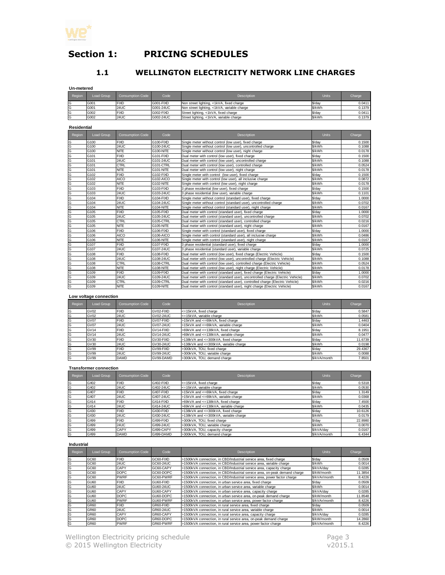

## <span id="page-2-1"></span><span id="page-2-0"></span>**Section 1: PRICING SCHEDULES**

## **1.1 WELLINGTON ELECTRICITY NETWORK LINE CHARGES**

**Un-metered**

| Region | Load Group | <b>Consumption Code</b> | Code      | <b>Description</b>                          | <b>Units</b> | Charge |
|--------|------------|-------------------------|-----------|---------------------------------------------|--------------|--------|
| lG     | G001       | FIXD                    | G001-FIXD | Non street lighting, <1kVA, fixed charge    | \$/dav       | 0.0411 |
| lG     | G001       | <b>24UC</b>             | G001-24UC | Non street lighting, <1kVA, variable charge | S/kWh        | 0.1379 |
| lG     | G002       | FIXD                    | G002-FIXD | Street lighting, <1kVA, fixed charge        | \$/dav       | 0.0411 |
| lG     | G002       | <b>24UC</b>             | G002-24UC | Street lighting, <1kVA, variable charge     | S/kWh        | 0.1379 |

**Residential**

| Region                  | Load Group       | <b>Consumption Code</b> | Code             | <b>Description</b>                                                              | <b>Units</b> | Charge |
|-------------------------|------------------|-------------------------|------------------|---------------------------------------------------------------------------------|--------------|--------|
| G                       | G100             | <b>FIXD</b>             | G100-FIXD        | Single meter without control (low user), fixed charge                           | \$/dav       | 0.1500 |
| G                       | G <sub>100</sub> | 24UC                    | G100-24UC        | Single meter without control (low user), uncontrolled charge                    | \$/kWh       | 0.1088 |
| $\overline{G}$          | G100             | <b>NITE</b>             | G100-NITE        | Single meter without control (low user), night charge                           | \$/kWh       | 0.0178 |
| G                       | G101             | <b>FIXD</b>             | G101-FIXD        | Dual meter with control (low user), fixed charge                                | \$/dav       | 0.1500 |
| G                       | G101             | <b>24UC</b>             | G101-24UC        | Dual meter with control (low user), uncontrolled charge                         | \$/kWh       | 0.1088 |
| G                       | G101             | CTRL                    | G101-CTRL        | Dual meter with control (low user), controlled charge                           | \$/kWh       | 0.0524 |
| G                       | G101             | <b>NITE</b>             | G101-NITE        | Dual meter with control (low user), night charge                                | \$/kWh       | 0.0178 |
| G                       | G102             | <b>FIXD</b>             | G102-FIXD        | Single meter with control (low user), fixed charge                              | \$/day       | 0.1500 |
| G                       | G102             | AICO                    | G102-AICO        | Single meter with control (low user), all inclusive charge                      | \$/kWh       | 0.0872 |
| G                       | G102             | <b>NITE</b>             | G102-NITE        | Single meter with control (low user), night charge                              | \$/kWh       | 0.0178 |
| G                       | G103             | <b>FIXD</b>             | G103-FIXD        | 3 phase residential (low user), fixed charge                                    | \$/dav       | 0.1500 |
| G                       | G103             | <b>24UC</b>             | G103-24UC        | 3 phase residential (low user), variable charge                                 | \$/kWh       | 0.1101 |
| G                       | G104             | <b>FIXD</b>             | G104-FIXD        | Single meter without control (standard user), fixed charge                      | \$/day       | 1.0000 |
| $\overline{G}$          | G104             | 24UC                    | G104-24UC        | Single meter without control (standard user), uncontrolled charge               | \$/kWh       | 0.0702 |
| G                       | G104             | <b>NITE</b>             | G104-NITE        | Single meter without control (standard user), night charge                      | \$/kWh       | 0.0167 |
| G                       | G105             | <b>FIXD</b>             | G105-FIXD        | Dual meter with control (standard user), fixed charge                           | \$/day       | 1.0000 |
| G                       | G105             | <b>24UC</b>             | G105-24UC        | Dual meter with control (standard user), uncontrolled charge                    | \$/kWh       | 0.0702 |
| G                       | G105             | CTRL                    | G105-CTRL        | Dual meter with control (standard user), controlled charge                      | \$/kWh       | 0.0216 |
| $\overline{\mathsf{G}}$ | G105             | <b>NITE</b>             | <b>G105-NITE</b> | Dual meter with control (standard user), night charge                           | \$/kWh       | 0.0167 |
| G                       | G106             | <b>FIXD</b>             | G106-FIXD        | Single meter with control (standard user), fixed charge                         | \$/day       | 1.0000 |
| G                       | G106             | <b>AICO</b>             | G106-AICO        | Single meter with control (standard user), all inclusive charge                 | \$/kWh       | 0.0486 |
| G                       | G106             | <b>NITE</b>             | G106-NITE        | Single meter with control (standard user), night charge                         | \$/kWh       | 0.0167 |
| G                       | G107             | <b>FIXD</b>             | G107-FIXD        | 3 phase residential (standard user), fixed charge                               | \$/day       | 1.0000 |
| G                       | G107             | 24UC                    | G107-24UC        | 3 phase residential (standard user), variable charge                            | \$/kWh       | 0.0725 |
| G                       | G108             | <b>FIXD</b>             | G108-FIXD        | Dual meter with control (low user), fixed charge (Electric Vehicle)             | \$/day       | 0.1500 |
| G                       | G108             | <b>24UC</b>             | G108-24UC        | Dual meter with control (low user), uncontrolled charge (Electric Vehicle)      | \$/kWh       | 0.1088 |
| G                       | G108             | CTRL                    | G108-CTRL        | Dual meter with control (low user), controlled charge (Electric Vehicle)        | \$/kWh       | 0.0524 |
| G                       | G108             | <b>NITE</b>             | G108-NITE        | Dual meter with control (low user), night charge (Electric Vehicle)             | \$/kWh       | 0.0178 |
| G                       | G109             | <b>FIXD</b>             | G109-FIXD        | Dual meter with control (standard user), fixed charge (Electric Vehicle)        | \$/day       | 1.0000 |
| G                       | G109             | <b>24UC</b>             | G109-24UC        | Dual meter with control (standard user), uncontrolled charge (Electric Vehicle) | \$/kWh       | 0.0702 |
| G                       | G109             | CTRL                    | G109-CTRL        | Dual meter with control (standard user), controlled charge (Electric Vehicle)   | \$/kWh       | 0.0216 |
| G                       | G <sub>109</sub> | <b>NITE</b>             | G109-NITE        | Dual meter with control (standard user), night charge (Electric Vehicle)        | \$/kWh       | 0.0167 |

#### **Low voltage connection**

| Region | Load Group       | <b>Consumption Code</b> | Code      | <b>Description</b>                     | <b>Units</b> | Charge  |
|--------|------------------|-------------------------|-----------|----------------------------------------|--------------|---------|
| lG     | GV02             | <b>FIXD</b>             | GV02-FIXD | <= 15kVA, fixed charge                 | \$/dav       | 0.5847  |
| G      | GV02             | <b>24UC</b>             | GV02-24UC | <= 15kVA, variable charge              | \$/kWh       | 0.0581  |
| G      | GV07             | <b>FIXD</b>             | GV07-FIXD | 515kVA and <= 69kVA, fixed charge      | S/dav        | 1.4463  |
| G      | GV07             | <b>24UC</b>             | GV07-24UC | >15kVA and <= 69kVA, variable charge   | \$/kWh       | 0.0404  |
| G      | GV <sub>14</sub> | <b>FIXD</b>             | GV14-FIXD | >69kVA and <= 138kVA, fixed charge     | \$/dav       | 8.1951  |
| G      | GV <sub>14</sub> | <b>24UC</b>             | GV14-24UC | >69kVA and <= 138kVA, variable charge  | \$/kWh       | 0.0477  |
| G      | GV30             | <b>FIXD</b>             | GV30-FIXD | >138kVA and <= 300kVA, fixed charge    | \$/dav       | 11.6739 |
| G      | GV30             | <b>24UC</b>             | GV30-24UC | -138kVA and <= 300kVA, variable charge | \$/kWh       | 0.0198  |
| G      | GV99             | <b>FIXD</b>             | GV99-FIXD | >300kVA, TOU, fixed charge             | \$/day       | 29.4367 |
| G      | GV99             | <b>24UC</b>             | GV99-24UC | >300kVA. TOU, variable charge          | S/kWh        | 0.0088  |
| G      | GV99             | DAMD                    | GV99-DAMD | >300kVA, TOU, demand charge            | S/kVA/month  | 7.8501  |

#### **Transformer connection**

| Region | Load Group | <b>Consumption Code</b> | Code      | <b>Description</b>                    | <b>Units</b> | Charge  |
|--------|------------|-------------------------|-----------|---------------------------------------|--------------|---------|
| lG     | GX02       | <b>FIXD</b>             | GX02-FIXD | <= 15kVA, fixed charge                | \$/dav       | 0.5318  |
| G      | GX02       | 24UC                    | GX02-24UC | <=15kVA, variable charge              | \$/kWh       | 0.0530  |
| lG     | GX07       | <b>FIXD</b>             | GX07-FIXD | >15kVA and <=69kVA, fixed charge      | \$/day       | 1.3149  |
| lG     | GX07       | 24UC                    | GX07-24UC | >15kVA and <=69kVA, variable charge   | S/kWh        | 0.0368  |
| G      | GX14       | <b>FIXD</b>             | GX14-FIXD | >69kVA and <= 138kVA, fixed charge    | \$/dav       | 7.4500  |
| lG     | GX14       | <b>24UC</b>             | GX14-24UC | >69kVA and <=138kVA, variable charge  | \$/kWh       | 0.0435  |
| lG     | GX30       | <b>FIXD</b>             | GX30-FIXD | >138kVA and <= 300kVA, fixed charge   | \$/day       | 10.6126 |
| G      | GX30       | 24UC                    | GX30-24UC | >138kVA and <=300kVA, variable charge | \$/kWh       | 0.0179  |
| lG     | GX99       | <b>FIXD</b>             | GX99-FIXD | >300kVA, TOU, fixed charge            | \$/day       | 22.8980 |
| G      | GX99       | <b>24UC</b>             | GX99-24UC | >300kVA, TOU, variable charge         | \$/kWh       | 0.0070  |
| lG     | GX99       | <b>CAPY</b>             | GX99-CAPY | >300kVA, TOU, capacity charge         | S/kVA/dav    | 0.0167  |
| lG     | GX99       | DAMD                    | GX99-DAMD | >300kVA, TOU, demand charge           | S/kVA/month  | 6.4344  |

#### **Industrial**

| Region | Load Group       | <b>Consumption Code</b> | Code             | <b>Description</b>                                                         | <b>Units</b> | Charge  |
|--------|------------------|-------------------------|------------------|----------------------------------------------------------------------------|--------------|---------|
| G      | GC60             | <b>FIXD</b>             | GC60-FIXD        | >1500kVA connection, in CBD/Industrial service area, fixed charge          | \$/day       | 0.0509  |
| G      | GC60             | 24UC                    | GC60-24UC        | >1500kVA connection, in CBD/Industrial service area, variable charge       | \$/kWh       | 0.0014  |
| G      | GC60             | <b>CAPY</b>             | GC60-CAPY        | >1500kVA connection, in CBD/Industrial service area, capacity charge       | \$/kVA/dav   | 0.0285  |
| G      | GC60             | <b>DOPC</b>             | GC60-DOPC        | >1500kVA connection, in CBD/Industrial service area, on-peak demand charge | \$/kW/month  | 11.3854 |
| G      | GC60             | <b>PWRF</b>             | GC60-PWRF        | >1500kVA connection, in CBD/Industrial service area, power factor charge   | S/kVAr/month | 8.4226  |
| G      | GU60             | <b>FIXD</b>             | GU60-FIXD        | >1500kVA connection, in urban service area, fixed charge                   | S/dav        | 0.0509  |
| G      | GU <sub>60</sub> | 24UC                    | <b>GU60-24UC</b> | >1500kVA connection, in urban service area, variable charge                | \$/kWh       | 0.0014  |
| G      | GU <sub>60</sub> | <b>CAPY</b>             | GU60-CAPY        | >1500kVA connection, in urban service area, capacity charge                | \$/kVA/dav   | 0.0285  |
| G      | GU <sub>60</sub> | <b>DOPC</b>             | GU60-DOPC        | >1500kVA connection, in urban service area, on-peak demand charge          | S/kW/month   | 11.8548 |
| G      | GU60             | <b>PWRF</b>             | GU60-PWRF        | >1500kVA connection, in urban service area, power factor charge            | S/kVAr/month | 8.4226  |
| G      | GR60             | <b>FIXD</b>             | GR60-FIXD        | >1500kVA connection, in rural service area, fixed charge                   | S/dav        | 0.0509  |
| G      | GR <sub>60</sub> | 24UC                    | GR60-24UC        | >1500kVA connection, in rural service area, variable charge                | \$/kWh       | 0.0014  |
| G      | GR60             | CAPY                    | GR60-CAPY        | >1500kVA connection, in rural service area, capacity charge                | \$/kVA/dav   | 0.0285  |
| G      | GR60             | <b>DOPC</b>             | GR60-DOPC        | >1500kVA connection, in rural service area, on-peak demand charge          | S/kW/month   | 14.2860 |
| G      | GR <sub>60</sub> | <b>PWRF</b>             | GR60-PWRF        | >1500kVA connection, in rural service area, power factor charge            | S/kVAr/month | 8.4226  |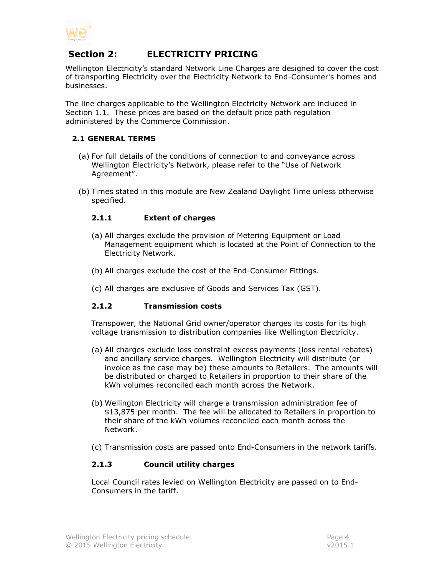

## <span id="page-3-0"></span>**Section 2: ELECTRICITY PRICING**

Wellington Electricity's standard Network Line Charges are designed to cover the cost of transporting Electricity over the Electricity Network to End-Consumer's homes and businesses.

The line charges applicable to the Wellington Electricity Network are included in Section 1.1. These prices are based on the default price path regulation administered by the Commerce Commission.

## <span id="page-3-1"></span>**2.1 GENERAL TERMS**

- (a) For full details of the conditions of connection to and conveyance across Wellington Electricity's Network, please refer to the "Use of Network Agreement".
- <span id="page-3-2"></span>(b) Times stated in this module are New Zealand Daylight Time unless otherwise specified.

## **2.1.1 Extent of charges**

- (a) All charges exclude the provision of Metering Equipment or Load Management equipment which is located at the Point of Connection to the Electricity Network.
- (b) All charges exclude the cost of the End-Consumer Fittings.
- (c) All charges are exclusive of Goods and Services Tax (GST).

## <span id="page-3-3"></span>**2.1.2 Transmission costs**

Transpower, the National Grid owner/operator charges its costs for its high voltage transmission to distribution companies like Wellington Electricity.

- (a) All charges exclude loss constraint excess payments (loss rental rebates) and ancillary service charges. Wellington Electricity will distribute (or invoice as the case may be) these amounts to Retailers. The amounts will be distributed or charged to Retailers in proportion to their share of the kWh volumes reconciled each month across the Network.
- (b) Wellington Electricity will charge a transmission administration fee of \$13,875 per month. The fee will be allocated to Retailers in proportion to their share of the kWh volumes reconciled each month across the Network.
- (c) Transmission costs are passed onto End-Consumers in the network tariffs.

## <span id="page-3-4"></span>**2.1.3 Council utility charges**

Local Council rates levied on Wellington Electricity are passed on to End-Consumers in the tariff.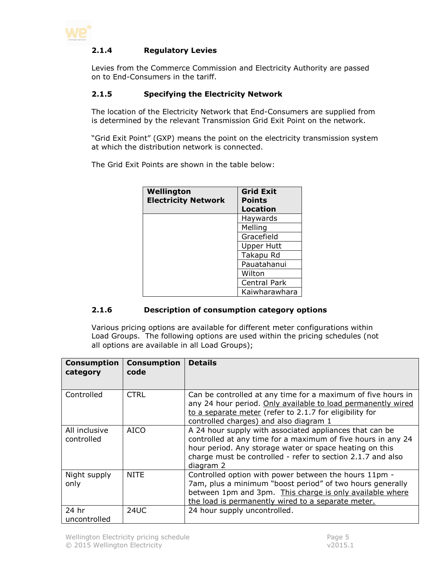<span id="page-4-0"></span>

## **2.1.4 Regulatory Levies**

Levies from the Commerce Commission and Electricity Authority are passed on to End-Consumers in the tariff.

## <span id="page-4-1"></span>**2.1.5 Specifying the Electricity Network**

The location of the Electricity Network that End-Consumers are supplied from is determined by the relevant Transmission Grid Exit Point on the network.

"Grid Exit Point" (GXP) means the point on the electricity transmission system at which the distribution network is connected.

The Grid Exit Points are shown in the table below:

| Wellington<br><b>Electricity Network</b> | <b>Grid Exit</b><br><b>Points</b><br><b>Location</b> |
|------------------------------------------|------------------------------------------------------|
|                                          | Haywards                                             |
|                                          | Melling                                              |
|                                          | Gracefield                                           |
|                                          | <b>Upper Hutt</b>                                    |
|                                          | Takapu Rd                                            |
|                                          | Pauatahanui                                          |
|                                          | Wilton                                               |
|                                          | Central Park                                         |
|                                          | Kaiwharawhara                                        |

## <span id="page-4-2"></span>**2.1.6 Description of consumption category options**

Various pricing options are available for different meter configurations within Load Groups. The following options are used within the pricing schedules (not all options are available in all Load Groups);

| <b>Consumption</b><br>category | <b>Consumption</b><br>code | <b>Details</b>                                                                                                                                                                                                                                                 |
|--------------------------------|----------------------------|----------------------------------------------------------------------------------------------------------------------------------------------------------------------------------------------------------------------------------------------------------------|
| Controlled                     | <b>CTRL</b>                | Can be controlled at any time for a maximum of five hours in<br>any 24 hour period. Only available to load permanently wired<br>to a separate meter (refer to 2.1.7 for eligibility for<br>controlled charges) and also diagram 1                              |
| All inclusive<br>controlled    | AICO                       | A 24 hour supply with associated appliances that can be<br>controlled at any time for a maximum of five hours in any 24<br>hour period. Any storage water or space heating on this<br>charge must be controlled - refer to section 2.1.7 and also<br>diagram 2 |
| Night supply<br>only           | <b>NITE</b>                | Controlled option with power between the hours 11pm -<br>7am, plus a minimum "boost period" of two hours generally<br>between 1pm and 3pm. This charge is only available where<br>the load is permanently wired to a separate meter.                           |
| 24 hr<br>uncontrolled          | <b>24UC</b>                | 24 hour supply uncontrolled.                                                                                                                                                                                                                                   |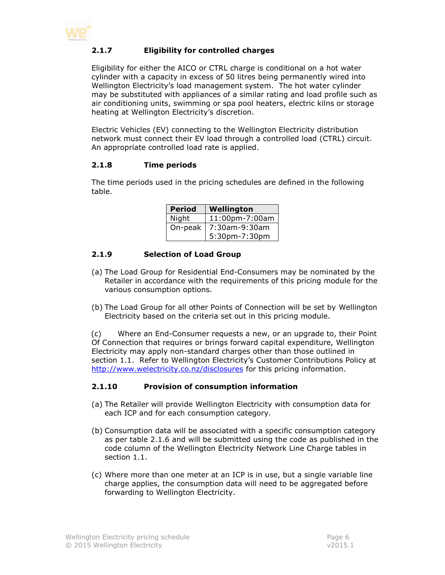<span id="page-5-0"></span>

## **2.1.7 Eligibility for controlled charges**

Eligibility for either the AICO or CTRL charge is conditional on a hot water cylinder with a capacity in excess of 50 litres being permanently wired into Wellington Electricity's load management system. The hot water cylinder may be substituted with appliances of a similar rating and load profile such as air conditioning units, swimming or spa pool heaters, electric kilns or storage heating at Wellington Electricity's discretion.

Electric Vehicles (EV) connecting to the Wellington Electricity distribution network must connect their EV load through a controlled load (CTRL) circuit. An appropriate controlled load rate is applied.

#### <span id="page-5-1"></span>**2.1.8 Time periods**

The time periods used in the pricing schedules are defined in the following table.

| <b>Period</b> | Wellington     |
|---------------|----------------|
| Night         | 11:00pm-7:00am |
| On-peak       | 7:30am-9:30am  |
|               | 5:30pm-7:30pm  |

#### <span id="page-5-2"></span>**2.1.9 Selection of Load Group**

- (a) The Load Group for Residential End-Consumers may be nominated by the Retailer in accordance with the requirements of this pricing module for the various consumption options.
- (b) The Load Group for all other Points of Connection will be set by Wellington Electricity based on the criteria set out in this pricing module.

(c) Where an End-Consumer requests a new, or an upgrade to, their Point Of Connection that requires or brings forward capital expenditure, Wellington Electricity may apply non-standard charges other than those outlined in section [1.1.](#page-2-1) Refer to Wellington Electricity's Customer Contributions Policy at <http://www.welectricity.co.nz/disclosures> for this pricing information.

#### <span id="page-5-3"></span>**2.1.10 Provision of consumption information**

- (a) The Retailer will provide Wellington Electricity with consumption data for each ICP and for each consumption category.
- (b) Consumption data will be associated with a specific consumption category as per table [2.1.6](#page-4-2) and will be submitted using the code as published in the code column of the Wellington Electricity Network Line Charge tables in section [1.1.](#page-2-1)
- (c) Where more than one meter at an ICP is in use, but a single variable line charge applies, the consumption data will need to be aggregated before forwarding to Wellington Electricity.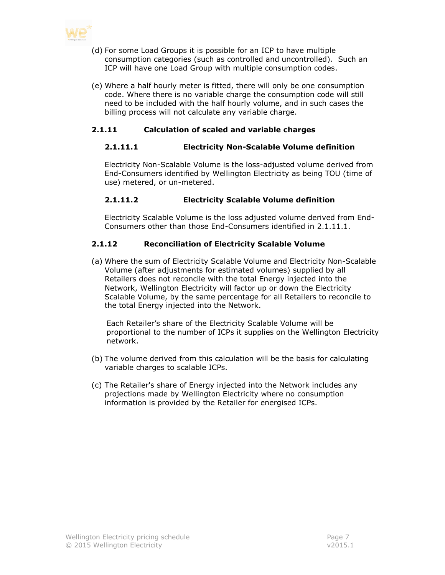

- (d) For some Load Groups it is possible for an ICP to have multiple consumption categories (such as controlled and uncontrolled). Such an ICP will have one Load Group with multiple consumption codes.
- (e) Where a half hourly meter is fitted, there will only be one consumption code. Where there is no variable charge the consumption code will still need to be included with the half hourly volume, and in such cases the billing process will not calculate any variable charge.

## <span id="page-6-1"></span><span id="page-6-0"></span>**2.1.11 Calculation of scaled and variable charges**

#### **2.1.11.1 Electricity Non-Scalable Volume definition**

Electricity Non-Scalable Volume is the loss-adjusted volume derived from End-Consumers identified by Wellington Electricity as being TOU (time of use) metered, or un-metered.

## <span id="page-6-2"></span>**2.1.11.2 Electricity Scalable Volume definition**

Electricity Scalable Volume is the loss adjusted volume derived from End-Consumers other than those End-Consumers identified in [2.1.11.1.](#page-6-1)

## <span id="page-6-3"></span>**2.1.12 Reconciliation of Electricity Scalable Volume**

(a) Where the sum of Electricity Scalable Volume and Electricity Non-Scalable Volume (after adjustments for estimated volumes) supplied by all Retailers does not reconcile with the total Energy injected into the Network, Wellington Electricity will factor up or down the Electricity Scalable Volume, by the same percentage for all Retailers to reconcile to the total Energy injected into the Network.

Each Retailer's share of the Electricity Scalable Volume will be proportional to the number of ICPs it supplies on the Wellington Electricity network.

- (b) The volume derived from this calculation will be the basis for calculating variable charges to scalable ICPs.
- (c) The Retailer's share of Energy injected into the Network includes any projections made by Wellington Electricity where no consumption information is provided by the Retailer for energised ICPs.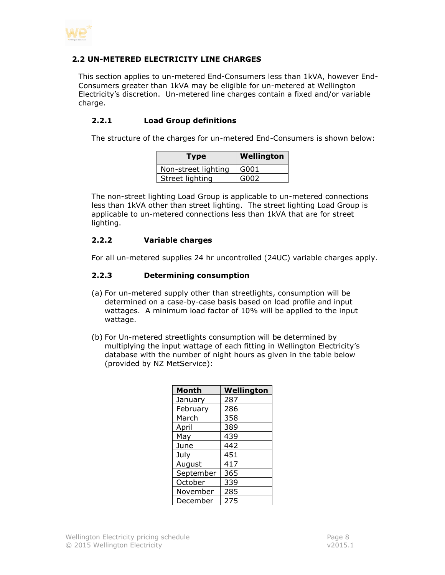

#### <span id="page-7-0"></span>**2.2 UN-METERED ELECTRICITY LINE CHARGES**

This section applies to un-metered End-Consumers less than 1kVA, however End-Consumers greater than 1kVA may be eligible for un-metered at Wellington Electricity's discretion. Un-metered line charges contain a fixed and/or variable charge.

#### <span id="page-7-1"></span>**2.2.1 Load Group definitions**

The structure of the charges for un-metered End-Consumers is shown below:

| Type                | <b>Wellington</b> |
|---------------------|-------------------|
| Non-street lighting | G001              |
| Street lighting     | G002              |

The non-street lighting Load Group is applicable to un-metered connections less than 1kVA other than street lighting. The street lighting Load Group is applicable to un-metered connections less than 1kVA that are for street lighting.

#### <span id="page-7-2"></span>**2.2.2 Variable charges**

<span id="page-7-3"></span>For all un-metered supplies 24 hr uncontrolled (24UC) variable charges apply.

#### **2.2.3 Determining consumption**

- (a) For un-metered supply other than streetlights, consumption will be determined on a case-by-case basis based on load profile and input wattages. A minimum load factor of 10% will be applied to the input wattage.
- (b) For Un-metered streetlights consumption will be determined by multiplying the input wattage of each fitting in Wellington Electricity's database with the number of night hours as given in the table below (provided by NZ MetService):

| Month     | Wellington |
|-----------|------------|
| January   | 287        |
| February  | 286        |
| March     | 358        |
| April     | 389        |
| May       | 439        |
| June      | 442        |
| July      | 451        |
| August    | 417        |
| September | 365        |
| October   | 339        |
| November  | 285        |
| December  | 275        |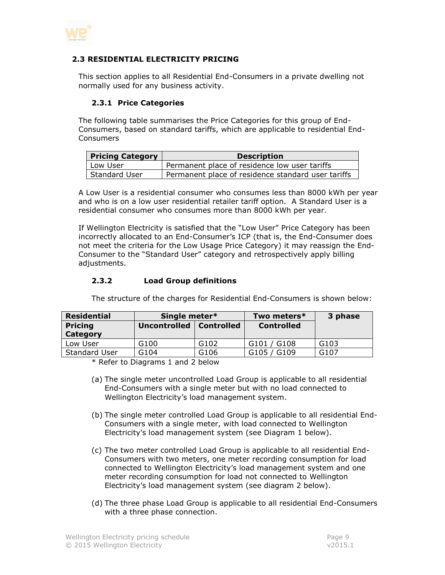

#### <span id="page-8-0"></span>**2.3 RESIDENTIAL ELECTRICITY PRICING**

<span id="page-8-1"></span>This section applies to all Residential End-Consumers in a private dwelling not normally used for any business activity.

#### **2.3.1 Price Categories**

The following table summarises the Price Categories for this group of End-Consumers, based on standard tariffs, which are applicable to residential End-Consumers

| <b>Pricing Category</b> | <b>Description</b>                                 |
|-------------------------|----------------------------------------------------|
| Low User                | Permanent place of residence low user tariffs      |
| Standard User           | Permanent place of residence standard user tariffs |

A Low User is a residential consumer who consumes less than 8000 kWh per year and who is on a low user residential retailer tariff option. A Standard User is a residential consumer who consumes more than 8000 kWh per year.

If Wellington Electricity is satisfied that the "Low User" Price Category has been incorrectly allocated to an End-Consumer's ICP (that is, the End-Consumer does not meet the criteria for the Low Usage Price Category) it may reassign the End-Consumer to the "Standard User" category and retrospectively apply billing adjustments.

#### <span id="page-8-2"></span>**2.3.2 Load Group definitions**

| <b>Residential</b>   | Single meter*             |      | Two meters*                          | 3 phase          |
|----------------------|---------------------------|------|--------------------------------------|------------------|
| <b>Pricing</b>       | Uncontrolled   Controlled |      | <b>Controlled</b>                    |                  |
| Category             |                           |      |                                      |                  |
| Low User             | G100                      | G102 | $/$ G108<br>G101                     | G <sub>103</sub> |
| <b>Standard User</b> | G104                      | G106 | G <sub>109</sub><br>G <sub>105</sub> | G107             |

The structure of the charges for Residential End-Consumers is shown below:

\* Refer to Diagrams 1 and 2 below

- (a) The single meter uncontrolled Load Group is applicable to all residential End-Consumers with a single meter but with no load connected to Wellington Electricity's load management system.
- (b) The single meter controlled Load Group is applicable to all residential End-Consumers with a single meter, with load connected to Wellington Electricity's load management system (see Diagram 1 below).
- (c) The two meter controlled Load Group is applicable to all residential End-Consumers with two meters, one meter recording consumption for load connected to Wellington Electricity's load management system and one meter recording consumption for load not connected to Wellington Electricity's load management system (see diagram 2 below).
- (d) The three phase Load Group is applicable to all residential End-Consumers with a three phase connection.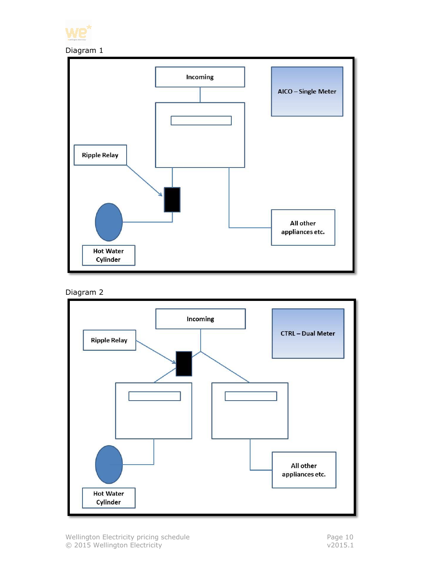







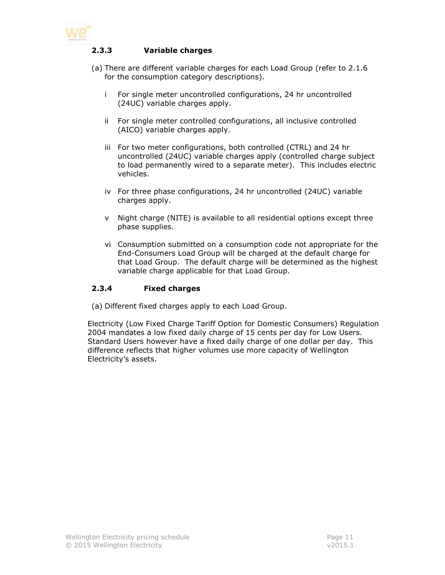<span id="page-10-0"></span>

#### **2.3.3 Variable charges**

- (a) There are different variable charges for each Load Group (refer to 2.1.6 for the consumption category descriptions).
	- i For single meter uncontrolled configurations, 24 hr uncontrolled (24UC) variable charges apply.
	- ii For single meter controlled configurations, all inclusive controlled (AICO) variable charges apply.
	- iii For two meter configurations, both controlled (CTRL) and 24 hr uncontrolled (24UC) variable charges apply (controlled charge subject to load permanently wired to a separate meter). This includes electric vehicles.
	- iv For three phase configurations, 24 hr uncontrolled (24UC) variable charges apply.
	- v Night charge (NITE) is available to all residential options except three phase supplies.
	- vi Consumption submitted on a consumption code not appropriate for the End-Consumers Load Group will be charged at the default charge for that Load Group. The default charge will be determined as the highest variable charge applicable for that Load Group.

#### <span id="page-10-1"></span>**2.3.4 Fixed charges**

(a) Different fixed charges apply to each Load Group.

Electricity (Low Fixed Charge Tariff Option for Domestic Consumers) Regulation 2004 mandates a low fixed daily charge of 15 cents per day for Low Users. Standard Users however have a fixed daily charge of one dollar per day. This difference reflects that higher volumes use more capacity of Wellington Electricity's assets.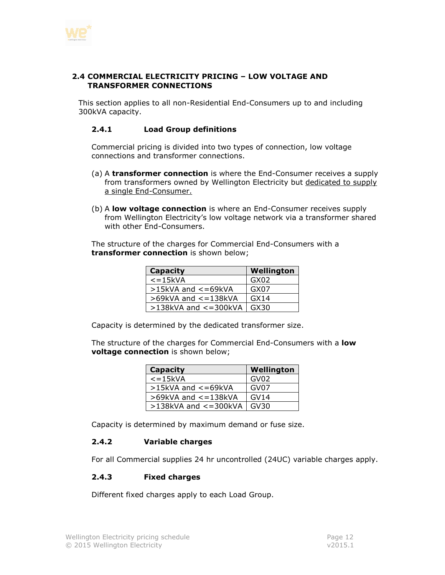

#### <span id="page-11-0"></span>**2.4 COMMERCIAL ELECTRICITY PRICING – LOW VOLTAGE AND TRANSFORMER CONNECTIONS**

<span id="page-11-1"></span>This section applies to all non-Residential End-Consumers up to and including 300kVA capacity.

#### **2.4.1 Load Group definitions**

Commercial pricing is divided into two types of connection, low voltage connections and transformer connections.

- (a) A **transformer connection** is where the End-Consumer receives a supply from transformers owned by Wellington Electricity but dedicated to supply a single End-Consumer.
- (b) A **low voltage connection** is where an End-Consumer receives supply from Wellington Electricity's low voltage network via a transformer shared with other End-Consumers.

The structure of the charges for Commercial End-Consumers with a **transformer connection** is shown below;

| <b>Capacity</b>            | Wellington |
|----------------------------|------------|
| $\epsilon$ =15 $kVA$       | GX02       |
| $>15$ kVA and $<=69$ kVA   | GX07       |
| $>69$ kVA and $<=138$ kVA  | GX14       |
| $>138$ kVA and $<=300$ kVA | GX30       |

Capacity is determined by the dedicated transformer size.

The structure of the charges for Commercial End-Consumers with a **low voltage connection** is shown below;

| <b>Capacity</b>            | Wellington       |
|----------------------------|------------------|
| $\epsilon$ =15 $\kappa$ VA | GV <sub>02</sub> |
| >15kVA and <= 69kVA        | GV07             |
| $>69$ kVA and $<=138$ kVA  | GVI4             |
| $>138$ kVA and $<=300$ kVA | GV30             |

Capacity is determined by maximum demand or fuse size.

#### <span id="page-11-2"></span>**2.4.2 Variable charges**

For all Commercial supplies 24 hr uncontrolled (24UC) variable charges apply.

#### <span id="page-11-3"></span>**2.4.3 Fixed charges**

Different fixed charges apply to each Load Group.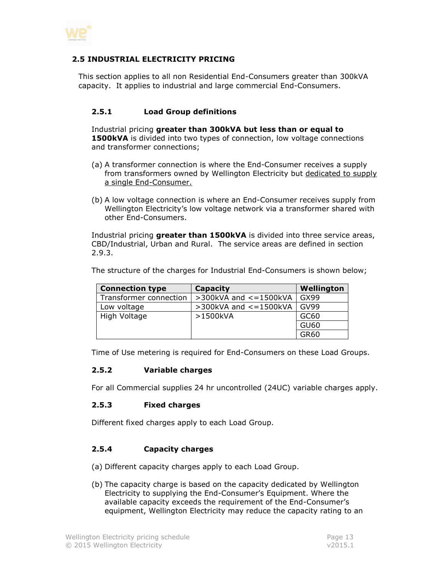

#### <span id="page-12-0"></span>**2.5 INDUSTRIAL ELECTRICITY PRICING**

This section applies to all non Residential End-Consumers greater than 300kVA capacity. It applies to industrial and large commercial End-Consumers.

#### <span id="page-12-1"></span>**2.5.1 Load Group definitions**

Industrial pricing **greater than 300kVA but less than or equal to 1500kVA** is divided into two types of connection, low voltage connections and transformer connections;

- (a) A transformer connection is where the End-Consumer receives a supply from transformers owned by Wellington Electricity but dedicated to supply a single End-Consumer.
- (b) A low voltage connection is where an End-Consumer receives supply from Wellington Electricity's low voltage network via a transformer shared with other End-Consumers.

Industrial pricing **greater than 1500kVA** is divided into three service areas, CBD/Industrial, Urban and Rural. The service areas are defined in section [2.9.3.](#page-20-0)

| <b>Connection type</b> | Capacity                       | Wellington  |
|------------------------|--------------------------------|-------------|
| Transformer connection | $>$ 300kVA and $\lt$ = 1500kVA | GX99        |
| Low voltage            | $>$ 300kVA and $\lt$ = 1500kVA | GV99        |
| High Voltage           | >1500kVA                       | GC60        |
|                        |                                | GU60        |
|                        |                                | <b>GR60</b> |

The structure of the charges for Industrial End-Consumers is shown below;

<span id="page-12-2"></span>Time of Use metering is required for End-Consumers on these Load Groups.

#### **2.5.2 Variable charges**

<span id="page-12-3"></span>For all Commercial supplies 24 hr uncontrolled (24UC) variable charges apply.

#### **2.5.3 Fixed charges**

Different fixed charges apply to each Load Group.

#### <span id="page-12-4"></span>**2.5.4 Capacity charges**

- (a) Different capacity charges apply to each Load Group.
- (b) The capacity charge is based on the capacity dedicated by Wellington Electricity to supplying the End-Consumer's Equipment. Where the available capacity exceeds the requirement of the End-Consumer's equipment, Wellington Electricity may reduce the capacity rating to an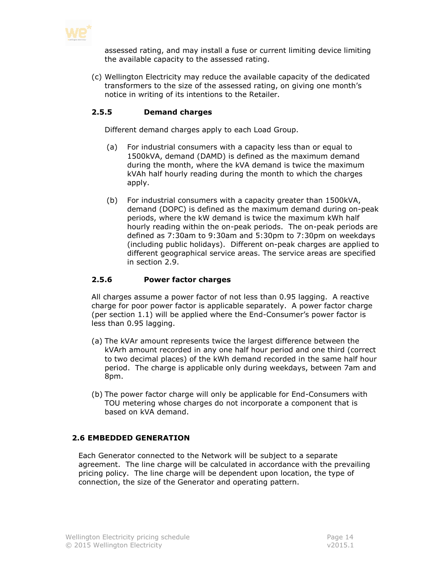

assessed rating, and may install a fuse or current limiting device limiting the available capacity to the assessed rating.

(c) Wellington Electricity may reduce the available capacity of the dedicated transformers to the size of the assessed rating, on giving one month's notice in writing of its intentions to the Retailer.

## <span id="page-13-0"></span>**2.5.5 Demand charges**

Different demand charges apply to each Load Group.

- (a) For industrial consumers with a capacity less than or equal to 1500kVA, demand (DAMD) is defined as the maximum demand during the month, where the kVA demand is twice the maximum kVAh half hourly reading during the month to which the charges apply.
- (b) For industrial consumers with a capacity greater than 1500kVA, demand (DOPC) is defined as the maximum demand during on-peak periods, where the kW demand is twice the maximum kWh half hourly reading within the on-peak periods. The on-peak periods are defined as 7:30am to 9:30am and 5:30pm to 7:30pm on weekdays (including public holidays). Different on-peak charges are applied to different geographical service areas. The service areas are specified in section [2.9.](#page-18-0)

#### <span id="page-13-1"></span>**2.5.6 Power factor charges**

All charges assume a power factor of not less than 0.95 lagging. A reactive charge for poor power factor is applicable separately. A power factor charge (per section [1.1\)](#page-2-1) will be applied where the End-Consumer's power factor is less than 0.95 lagging.

- (a) The kVAr amount represents twice the largest difference between the kVArh amount recorded in any one half hour period and one third (correct to two decimal places) of the kWh demand recorded in the same half hour period. The charge is applicable only during weekdays, between 7am and 8pm.
- (b) The power factor charge will only be applicable for End-Consumers with TOU metering whose charges do not incorporate a component that is based on kVA demand.

#### <span id="page-13-2"></span>**2.6 EMBEDDED GENERATION**

Each Generator connected to the Network will be subject to a separate agreement. The line charge will be calculated in accordance with the prevailing pricing policy. The line charge will be dependent upon location, the type of connection, the size of the Generator and operating pattern.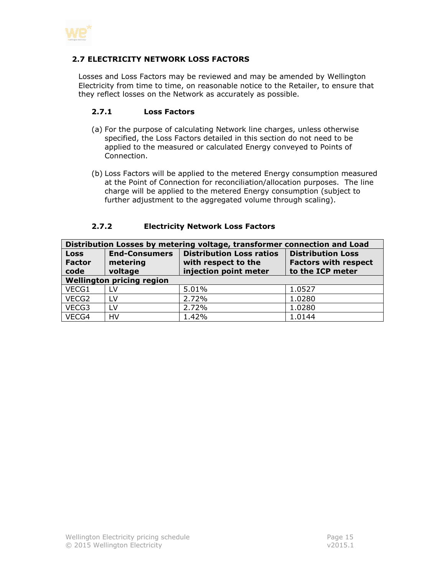

#### <span id="page-14-0"></span>**2.7 ELECTRICITY NETWORK LOSS FACTORS**

Losses and Loss Factors may be reviewed and may be amended by Wellington Electricity from time to time, on reasonable notice to the Retailer, to ensure that they reflect losses on the Network as accurately as possible.

#### <span id="page-14-1"></span>**2.7.1 Loss Factors**

- (a) For the purpose of calculating Network line charges, unless otherwise specified, the Loss Factors detailed in this section do not need to be applied to the measured or calculated Energy conveyed to Points of Connection.
- (b) Loss Factors will be applied to the metered Energy consumption measured at the Point of Connection for reconciliation/allocation purposes. The line charge will be applied to the metered Energy consumption (subject to further adjustment to the aggregated volume through scaling).

<span id="page-14-2"></span>

| Distribution Losses by metering voltage, transformer connection and Load |                                  |                                                        |                                                         |
|--------------------------------------------------------------------------|----------------------------------|--------------------------------------------------------|---------------------------------------------------------|
| <b>Loss</b><br><b>Factor</b>                                             | <b>End-Consumers</b><br>metering | <b>Distribution Loss ratios</b><br>with respect to the | <b>Distribution Loss</b><br><b>Factors with respect</b> |
| code                                                                     | voltage                          | injection point meter                                  | to the ICP meter                                        |
| <b>Wellington pricing region</b>                                         |                                  |                                                        |                                                         |
| VECG1                                                                    | LV                               | 5.01%                                                  | 1.0527                                                  |
| VECG2                                                                    | LV                               | 2.72%                                                  | 1.0280                                                  |
| VECG3                                                                    | LV                               | 2.72%                                                  | 1.0280                                                  |
| VECG4                                                                    | HV                               | 1.42%                                                  | 1.0144                                                  |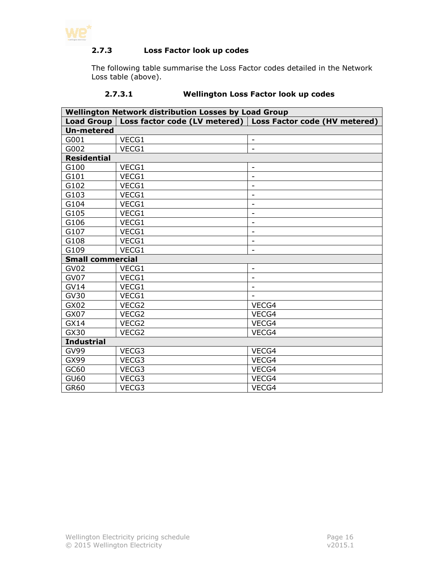<span id="page-15-0"></span>

## **2.7.3 Loss Factor look up codes**

The following table summarise the Loss Factor codes detailed in the Network Loss table (above).

## **2.7.3.1 Wellington Loss Factor look up codes**

<span id="page-15-1"></span>

| <b>Wellington Network distribution Losses by Load Group</b> |       |                                                               |  |
|-------------------------------------------------------------|-------|---------------------------------------------------------------|--|
| Load Group                                                  |       | Loss factor code (LV metered)   Loss Factor code (HV metered) |  |
| <b>Un-metered</b>                                           |       |                                                               |  |
| G001                                                        | VECG1 | $\qquad \qquad \blacksquare$                                  |  |
| G002                                                        | VECG1 | $\overline{a}$                                                |  |
| <b>Residential</b>                                          |       |                                                               |  |
| G100                                                        | VECG1 | $\overline{\phantom{a}}$                                      |  |
| G101                                                        | VECG1 | $\overline{a}$                                                |  |
| G102                                                        | VECG1 | $\overline{\phantom{a}}$                                      |  |
| G103                                                        | VECG1 | $\overline{\phantom{m}}$                                      |  |
| G104                                                        | VECG1 | $\overline{\phantom{0}}$                                      |  |
| G105                                                        | VECG1 | $\overline{\phantom{a}}$                                      |  |
| G106                                                        | VECG1 | $\overline{\phantom{a}}$                                      |  |
| G107                                                        | VECG1 | $\overline{\phantom{m}}$                                      |  |
| G108                                                        | VECG1 | $\overline{\phantom{a}}$                                      |  |
| G109                                                        | VECG1 | $\overline{a}$                                                |  |
| <b>Small commercial</b>                                     |       |                                                               |  |
| GV02                                                        | VECG1 | $\overline{\phantom{a}}$                                      |  |
| GV07                                                        | VECG1 | $\overline{\phantom{m}}$                                      |  |
| <b>GV14</b>                                                 | VECG1 | $\overline{\phantom{a}}$                                      |  |
| <b>GV30</b>                                                 | VECG1 |                                                               |  |
| GX02                                                        | VECG2 | VECG4                                                         |  |
| GX07                                                        | VECG2 | VECG4                                                         |  |
| GX14                                                        | VECG2 | VECG4                                                         |  |
| GX30                                                        | VECG2 | VECG4                                                         |  |
| <b>Industrial</b>                                           |       |                                                               |  |
| <b>GV99</b>                                                 | VECG3 | VECG4                                                         |  |
| GX99                                                        | VECG3 | VECG4                                                         |  |
| GC60                                                        | VECG3 | VECG4                                                         |  |
| <b>GU60</b>                                                 | VECG3 | VECG4                                                         |  |
| <b>GR60</b>                                                 | VECG3 | VECG4                                                         |  |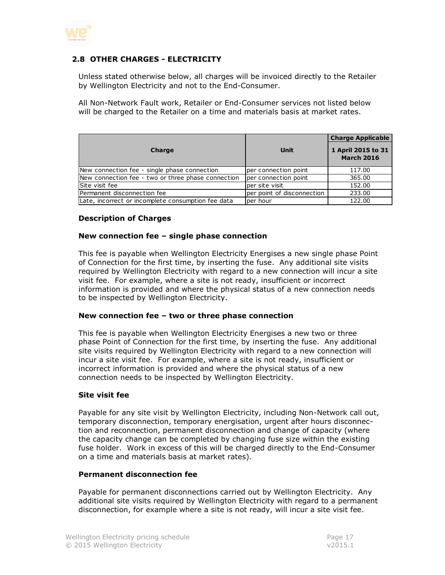

## <span id="page-16-0"></span>**2.8 OTHER CHARGES - ELECTRICITY**

Unless stated otherwise below, all charges will be invoiced directly to the Retailer by Wellington Electricity and not to the End-Consumer.

All Non-Network Fault work, Retailer or End-Consumer services not listed below will be charged to the Retailer on a time and materials basis at market rates.

| Charge                                             | Unit                       | <b>Charge Applicable</b><br>1 April 2015 to 31<br><b>March 2016</b> |
|----------------------------------------------------|----------------------------|---------------------------------------------------------------------|
| New connection fee - single phase connection       | per connection point       | 117.00                                                              |
| New connection fee - two or three phase connection | per connection point       | 365.00                                                              |
| Site visit fee                                     | per site visit             | 152.00                                                              |
| Permanent disconnection fee                        | per point of disconnection | 233.00                                                              |
| Late, incorrect or incomplete consumption fee data | lper hour                  | 122.00                                                              |

#### **Description of Charges**

#### **New connection fee – single phase connection**

This fee is payable when Wellington Electricity Energises a new single phase Point of Connection for the first time, by inserting the fuse. Any additional site visits required by Wellington Electricity with regard to a new connection will incur a site visit fee. For example, where a site is not ready, insufficient or incorrect information is provided and where the physical status of a new connection needs to be inspected by Wellington Electricity.

#### **New connection fee – two or three phase connection**

This fee is payable when Wellington Electricity Energises a new two or three phase Point of Connection for the first time, by inserting the fuse. Any additional site visits required by Wellington Electricity with regard to a new connection will incur a site visit fee. For example, where a site is not ready, insufficient or incorrect information is provided and where the physical status of a new connection needs to be inspected by Wellington Electricity.

#### **Site visit fee**

Payable for any site visit by Wellington Electricity, including Non-Network call out, temporary disconnection, temporary energisation, urgent after hours disconnection and reconnection, permanent disconnection and change of capacity (where the capacity change can be completed by changing fuse size within the existing fuse holder. Work in excess of this will be charged directly to the End-Consumer on a time and materials basis at market rates).

#### **Permanent disconnection fee**

Payable for permanent disconnections carried out by Wellington Electricity. Any additional site visits required by Wellington Electricity with regard to a permanent disconnection, for example where a site is not ready, will incur a site visit fee.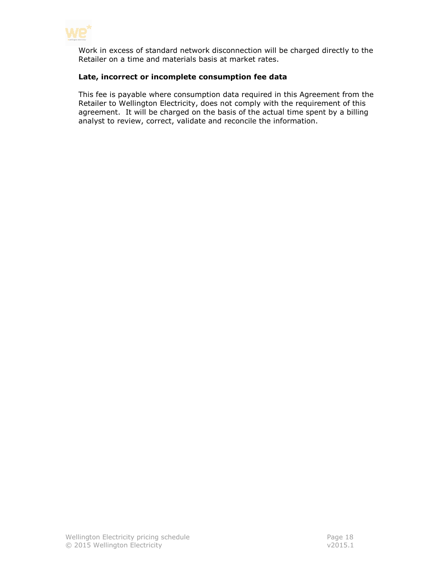

Work in excess of standard network disconnection will be charged directly to the Retailer on a time and materials basis at market rates.

#### **Late, incorrect or incomplete consumption fee data**

This fee is payable where consumption data required in this Agreement from the Retailer to Wellington Electricity, does not comply with the requirement of this agreement. It will be charged on the basis of the actual time spent by a billing analyst to review, correct, validate and reconcile the information.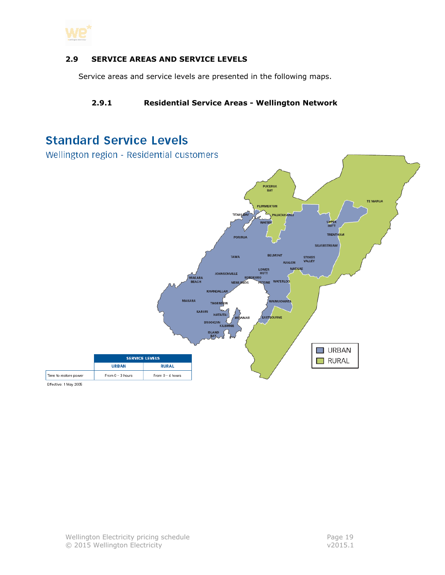

#### <span id="page-18-0"></span>**2.9 SERVICE AREAS AND SERVICE LEVELS**

<span id="page-18-1"></span>Service areas and service levels are presented in the following maps.

## **2.9.1 Residential Service Areas - Wellington Network**

# **Standard Service Levels**

Wellington region - Residential customers



Effective: 1 May 2005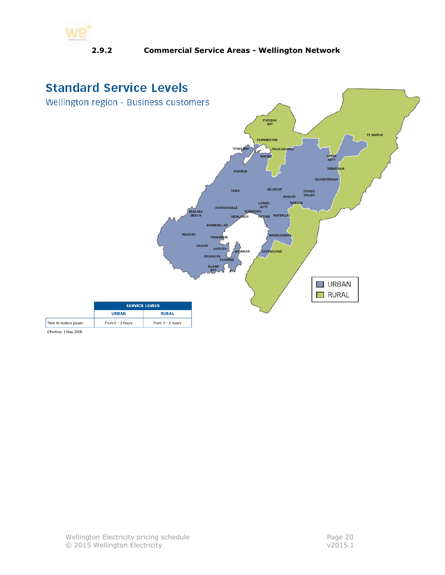<span id="page-19-0"></span>

## **2.9.2 Commercial Service Areas - Wellington Network**



Effective: 1 May 2005